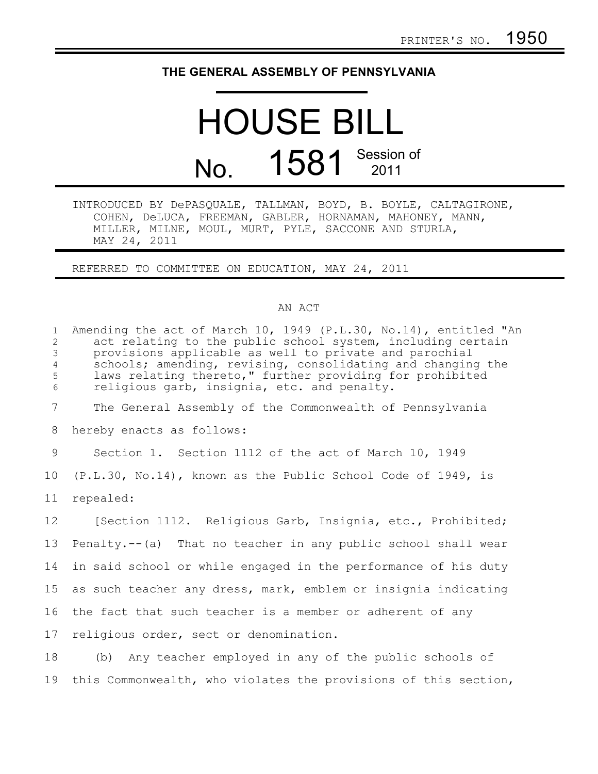## **THE GENERAL ASSEMBLY OF PENNSYLVANIA**

## HOUSE BILL No. 1581 Session of

INTRODUCED BY DePASQUALE, TALLMAN, BOYD, B. BOYLE, CALTAGIRONE, COHEN, DeLUCA, FREEMAN, GABLER, HORNAMAN, MAHONEY, MANN, MILLER, MILNE, MOUL, MURT, PYLE, SACCONE AND STURLA, MAY 24, 2011

REFERRED TO COMMITTEE ON EDUCATION, MAY 24, 2011

## AN ACT

| 1<br>$\mathbf{2}$<br>3<br>$\overline{4}$<br>5<br>6 | Amending the act of March 10, 1949 (P.L.30, No.14), entitled "An<br>act relating to the public school system, including certain<br>provisions applicable as well to private and parochial<br>schools; amending, revising, consolidating and changing the<br>laws relating thereto," further providing for prohibited<br>religious garb, insignia, etc. and penalty. |
|----------------------------------------------------|---------------------------------------------------------------------------------------------------------------------------------------------------------------------------------------------------------------------------------------------------------------------------------------------------------------------------------------------------------------------|
| $7\overline{ }$                                    | The General Assembly of the Commonwealth of Pennsylvania                                                                                                                                                                                                                                                                                                            |
| 8                                                  | hereby enacts as follows:                                                                                                                                                                                                                                                                                                                                           |
| 9                                                  | Section 1. Section 1112 of the act of March 10, 1949                                                                                                                                                                                                                                                                                                                |
| 10 <sub>o</sub>                                    | (P.L.30, No.14), known as the Public School Code of 1949, is                                                                                                                                                                                                                                                                                                        |
| 11                                                 | repealed:                                                                                                                                                                                                                                                                                                                                                           |
| 12 <sup>°</sup>                                    | [Section 1112. Religious Garb, Insignia, etc., Prohibited;                                                                                                                                                                                                                                                                                                          |
| 13                                                 | Penalty.--(a) That no teacher in any public school shall wear                                                                                                                                                                                                                                                                                                       |
| 14                                                 | in said school or while engaged in the performance of his duty                                                                                                                                                                                                                                                                                                      |
| 15                                                 | as such teacher any dress, mark, emblem or insignia indicating                                                                                                                                                                                                                                                                                                      |
| 16                                                 | the fact that such teacher is a member or adherent of any                                                                                                                                                                                                                                                                                                           |
| 17                                                 | religious order, sect or denomination.                                                                                                                                                                                                                                                                                                                              |
| 18                                                 | (b) Any teacher employed in any of the public schools of                                                                                                                                                                                                                                                                                                            |
|                                                    |                                                                                                                                                                                                                                                                                                                                                                     |

19 this Commonwealth, who violates the provisions of this section,